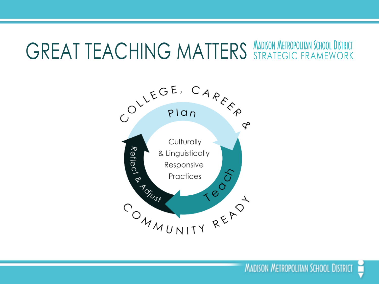### **GREAT TEACHING MATTERS MADISON METROPOLITAIN SCHOOL DISTRICT**

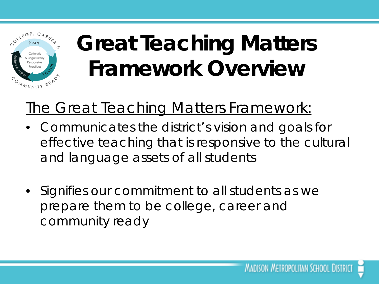

#### **Great Teaching Matters Framework Overview**

#### The Great Teaching Matters Framework:

- Communicates the district's vision and goals for effective teaching that is responsive to the cultural and language assets of all students
- Signifies our commitment to all students as we prepare them to be college, career and community ready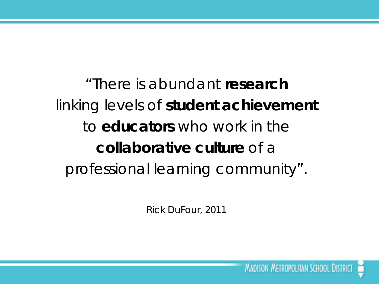"There is abundant **research** linking levels of **student achievement** to **educators** who work in the **collaborative culture** of a professional learning community".

*Rick DuFour, 2011*

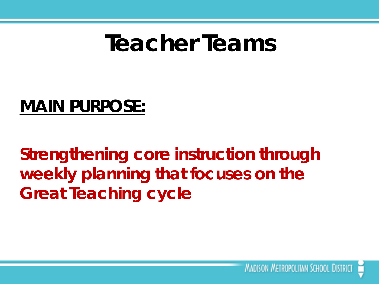#### **Teacher Teams**

#### **MAIN PURPOSE:**

**Strengthening core instruction through weekly planning that focuses on the Great Teaching cycle**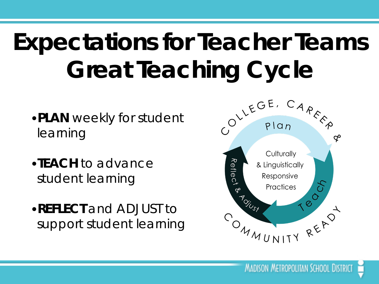# **Expectations for Teacher Teams Great Teaching Cycle**

- •**PLAN** weekly for student learning
- •**TEACH** to advance student learning
- •**REFLECT** and ADJUST to support student learning

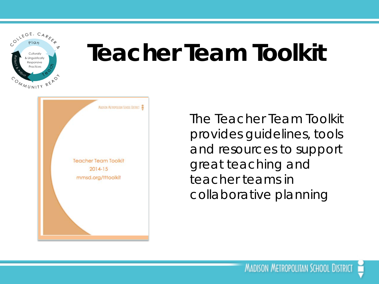COLLEGE, CAREEP Culturally inguisticall<sup>.</sup> <sup>a</sup>ractice OMMUNITY READ

### **Teacher Team Toolkit**



The Teacher Team Toolkit provides guidelines, tools and resources to support great teaching and teacher teams in collaborative planning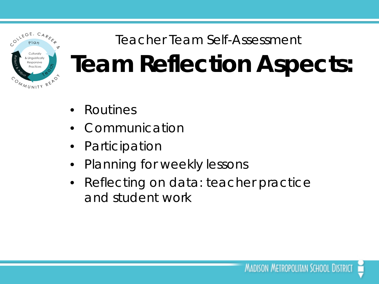

#### Teacher Team Self-Assessment **Team Reflection Aspects:**

- Routines
- **Communication**
- **Participation**
- Planning for weekly lessons
- Reflecting on data: teacher practice and student work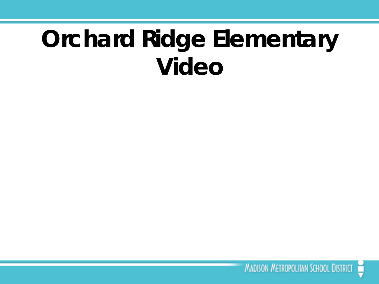### **Orchard Ridge Elementary Video**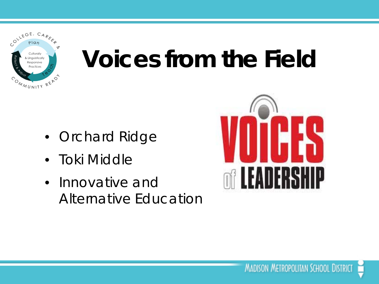

## **Voices from the Field**

- Orchard Ridge
- Toki Middle
- Innovative and Alternative Education